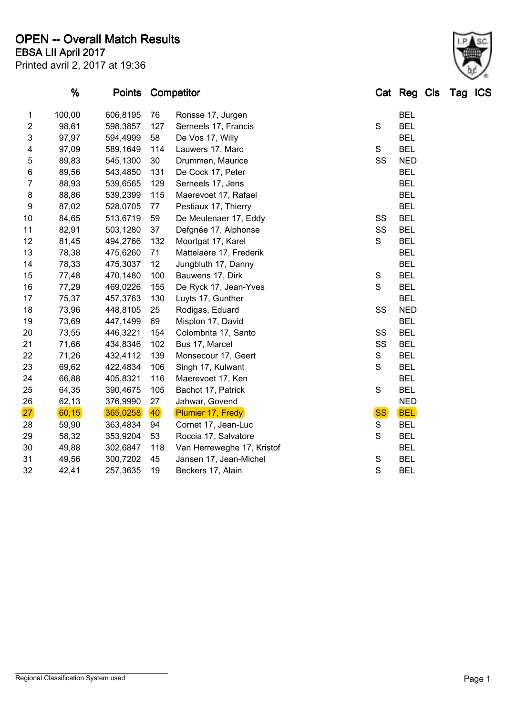|                  | <u>%</u> | <b>Points Competitor</b> |     |                            |               |           | Cat Reg Cls Tag ICS |  |  |
|------------------|----------|--------------------------|-----|----------------------------|---------------|-----------|---------------------|--|--|
| 1                | 100,00   | 606,8195                 | 76  | Ronsse 17, Jurgen          |               |           | <b>BEL</b>          |  |  |
| $\overline{2}$   | 98,61    | 598,3857                 | 127 | Serneels 17, Francis       | ${\mathsf S}$ |           | <b>BEL</b>          |  |  |
| 3                | 97,97    | 594,4999                 | 58  | De Vos 17, Willy           |               |           | <b>BEL</b>          |  |  |
| 4                | 97,09    | 589,1649                 | 114 | Lauwers 17, Marc           | $\mathbf S$   |           | <b>BEL</b>          |  |  |
| 5                | 89,83    | 545,1300                 | 30  | Drummen, Maurice           |               | SS        | <b>NED</b>          |  |  |
| 6                | 89,56    | 543,4850                 | 131 | De Cock 17, Peter          |               |           | <b>BEL</b>          |  |  |
| $\boldsymbol{7}$ | 88,93    | 539,6565                 | 129 | Serneels 17, Jens          |               |           | <b>BEL</b>          |  |  |
| $\bf 8$          | 88,86    | 539,2399                 | 115 | Maerevoet 17, Rafael       |               |           | <b>BEL</b>          |  |  |
| $\boldsymbol{9}$ | 87,02    | 528,0705                 | 77  | Pestiaux 17, Thierry       |               |           | <b>BEL</b>          |  |  |
| 10               | 84,65    | 513,6719                 | 59  | De Meulenaer 17, Eddy      |               | SS        | <b>BEL</b>          |  |  |
| 11               | 82,91    | 503,1280                 | 37  | Defgnée 17, Alphonse       |               | SS        | <b>BEL</b>          |  |  |
| 12               | 81,45    | 494,2766                 | 132 | Moortgat 17, Karel         | $\mathsf S$   |           | <b>BEL</b>          |  |  |
| 13               | 78,38    | 475,6260                 | 71  | Mattelaere 17, Frederik    |               |           | <b>BEL</b>          |  |  |
| 14               | 78,33    | 475,3037                 | 12  | Jungbluth 17, Danny        |               |           | <b>BEL</b>          |  |  |
| 15               | 77,48    | 470,1480                 | 100 | Bauwens 17, Dirk           | S             |           | <b>BEL</b>          |  |  |
| 16               | 77,29    | 469,0226                 | 155 | De Ryck 17, Jean-Yves      | S             |           | <b>BEL</b>          |  |  |
| 17               | 75,37    | 457,3763                 | 130 | Luyts 17, Gunther          |               |           | <b>BEL</b>          |  |  |
| 18               | 73,96    | 448,8105                 | 25  | Rodigas, Eduard            |               | SS        | <b>NED</b>          |  |  |
| 19               | 73,69    | 447,1499                 | 69  | Misplon 17, David          |               |           | <b>BEL</b>          |  |  |
| 20               | 73,55    | 446,3221                 | 154 | Colombrita 17, Santo       |               | SS        | <b>BEL</b>          |  |  |
| 21               | 71,66    | 434,8346                 | 102 | Bus 17, Marcel             |               | SS        | <b>BEL</b>          |  |  |
| 22               | 71,26    | 432,4112                 | 139 | Monsecour 17, Geert        | ${\mathsf S}$ |           | <b>BEL</b>          |  |  |
| 23               | 69,62    | 422,4834                 | 106 | Singh 17, Kulwant          | $\mathbf S$   |           | <b>BEL</b>          |  |  |
| 24               | 66,88    | 405,8321                 | 116 | Maerevoet 17, Ken          |               |           | <b>BEL</b>          |  |  |
| 25               | 64,35    | 390,4675                 | 105 | Bachot 17, Patrick         | $\mathbf S$   |           | <b>BEL</b>          |  |  |
| 26               | 62,13    | 376,9990                 | 27  | Jahwar, Govend             |               |           | <b>NED</b>          |  |  |
| 27               | 60, 15   | 365,0258                 | 40  | Plumier 17, Fredy          |               | <b>SS</b> | <b>BEL</b>          |  |  |
| 28               | 59,90    | 363,4834                 | 94  | Cornet 17, Jean-Luc        | S             |           | <b>BEL</b>          |  |  |
| 29               | 58,32    | 353,9204                 | 53  | Roccia 17, Salvatore       | $\mathbf S$   |           | <b>BEL</b>          |  |  |
| 30               | 49,88    | 302,6847                 | 118 | Van Herreweghe 17, Kristof |               |           | <b>BEL</b>          |  |  |
| 31               | 49,56    | 300,7202                 | 45  | Jansen 17, Jean-Michel     | ${\mathsf S}$ |           | <b>BEL</b>          |  |  |
| 32               | 42,41    | 257,3635                 | 19  | Beckers 17, Alain          | $\mathbf S$   |           | <b>BEL</b>          |  |  |
|                  |          |                          |     |                            |               |           |                     |  |  |

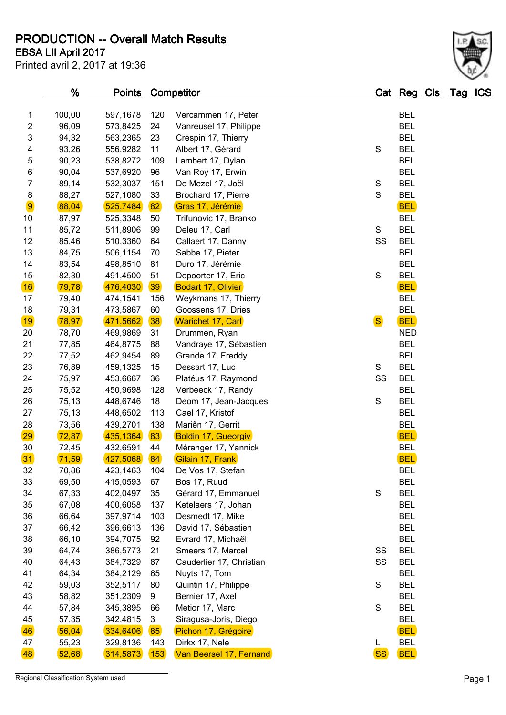**PRODUCTION -- Overall Match Results**

Printed avril 2, 2017 at 19:36

## **EBSA LII April 2017**

|                         | <u>%</u>       | <u>Points</u> |     | <b>Competitor</b>          |               | Cat Reg Cls Tag ICS |  |  |
|-------------------------|----------------|---------------|-----|----------------------------|---------------|---------------------|--|--|
| 1                       | 100,00         | 597,1678      | 120 | Vercammen 17, Peter        |               | <b>BEL</b>          |  |  |
| $\overline{c}$          | 96,09          | 573,8425      | 24  | Vanreusel 17, Philippe     |               | <b>BEL</b>          |  |  |
| 3                       | 94,32          | 563,2365      | 23  | Crespin 17, Thierry        |               | <b>BEL</b>          |  |  |
| $\overline{\mathbf{4}}$ | 93,26          | 556,9282      | 11  | Albert 17, Gérard          | S             | <b>BEL</b>          |  |  |
| 5                       | 90,23          | 538,8272      | 109 | Lambert 17, Dylan          |               | <b>BEL</b>          |  |  |
| 6                       | 90,04          | 537,6920      | 96  | Van Roy 17, Erwin          |               | <b>BEL</b>          |  |  |
| 7                       | 89,14          | 532,3037      | 151 | De Mezel 17, Joël          | ${\mathbb S}$ | <b>BEL</b>          |  |  |
| $\bf 8$                 | 88,27          | 527,1080      | 33  | Brochard 17, Pierre        | $\mathbf S$   | <b>BEL</b>          |  |  |
| 9                       | 88,04          | 525,7484      | 82  |                            |               | <b>BEL</b>          |  |  |
| 10                      |                |               | 50  | Gras 17, Jérémie           |               | <b>BEL</b>          |  |  |
| 11                      | 87,97<br>85,72 | 525,3348      | 99  | Trifunovic 17, Branko      | ${\mathsf S}$ | <b>BEL</b>          |  |  |
| 12                      |                | 511,8906      |     | Deleu 17, Carl             | SS            | <b>BEL</b>          |  |  |
|                         | 85,46          | 510,3360      | 64  | Callaert 17, Danny         |               | <b>BEL</b>          |  |  |
| 13                      | 84,75          | 506,1154      | 70  | Sabbe 17, Pieter           |               |                     |  |  |
| 14                      | 83,54          | 498,8510      | 81  | Duro 17, Jérémie           |               | <b>BEL</b>          |  |  |
| 15                      | 82,30          | 491,4500      | 51  | Depoorter 17, Eric         | $\mathbf S$   | <b>BEL</b>          |  |  |
| 16                      | 79,78          | 476,4030      | 39  | <b>Bodart 17, Olivier</b>  |               | <b>BEL</b>          |  |  |
| 17                      | 79,40          | 474,1541      | 156 | Weykmans 17, Thierry       |               | <b>BEL</b>          |  |  |
| 18                      | 79,31          | 473,5867      | 60  | Goossens 17, Dries         |               | <b>BEL</b>          |  |  |
| 19                      | 78,97          | 471,5662      | 38  | <b>Warichet 17, Carl</b>   | <b>S</b>      | <b>BEL</b>          |  |  |
| 20                      | 78,70          | 469,9869      | 31  | Drummen, Ryan              |               | <b>NED</b>          |  |  |
| 21                      | 77,85          | 464,8775      | 88  | Vandraye 17, Sébastien     |               | <b>BEL</b>          |  |  |
| 22                      | 77,52          | 462,9454      | 89  | Grande 17, Freddy          |               | <b>BEL</b>          |  |  |
| 23                      | 76,89          | 459,1325      | 15  | Dessart 17, Luc            | S             | <b>BEL</b>          |  |  |
| 24                      | 75,97          | 453,6667      | 36  | Platéus 17, Raymond        | SS            | <b>BEL</b>          |  |  |
| 25                      | 75,52          | 450,9698      | 128 | Verbeeck 17, Randy         |               | <b>BEL</b>          |  |  |
| 26                      | 75,13          | 448,6746      | 18  | Deom 17, Jean-Jacques      | $\mathbf S$   | <b>BEL</b>          |  |  |
| 27                      | 75,13          | 448,6502      | 113 | Cael 17, Kristof           |               | <b>BEL</b>          |  |  |
| 28                      | 73,56          | 439,2701      | 138 | Mariên 17, Gerrit          |               | <b>BEL</b>          |  |  |
| 29                      | 72,87          | 435,1364      | 83  | <b>Boldin 17, Gueorgiy</b> |               | <b>BEL</b>          |  |  |
| 30                      | 72,45          | 432,6591      | 44  | Méranger 17, Yannick       |               | <b>BEL</b>          |  |  |
| 31                      | 71,59          | 427,5068      | 84  | Gilain 17, Frank           |               | <b>BEL</b>          |  |  |
| 32                      | 70,86          | 423,1463      | 104 | De Vos 17, Stefan          |               | <b>BEL</b>          |  |  |
| 33                      | 69,50          | 415,0593      | 67  | Bos 17, Ruud               |               | <b>BEL</b>          |  |  |
| 34                      | 67,33          | 402,0497      | 35  | Gérard 17, Emmanuel        | S             | <b>BEL</b>          |  |  |
| 35                      | 67,08          | 400,6058      | 137 | Ketelaers 17, Johan        |               | <b>BEL</b>          |  |  |
| 36                      | 66,64          | 397,9714      | 103 | Desmedt 17, Mike           |               | <b>BEL</b>          |  |  |
| 37                      | 66,42          | 396,6613      | 136 | David 17, Sébastien        |               | <b>BEL</b>          |  |  |
| 38                      | 66,10          | 394,7075      | 92  | Evrard 17, Michaël         |               | <b>BEL</b>          |  |  |
| 39                      | 64,74          | 386,5773      | 21  | Smeers 17, Marcel          | SS            | <b>BEL</b>          |  |  |
| 40                      | 64,43          | 384,7329      | 87  | Cauderlier 17, Christian   | SS            | <b>BEL</b>          |  |  |
| 41                      | 64,34          | 384,2129      | 65  | Nuyts 17, Tom              |               | <b>BEL</b>          |  |  |
| 42                      | 59,03          | 352,5117      | 80  | Quintin 17, Philippe       | $\mathbf S$   | <b>BEL</b>          |  |  |
| 43                      | 58,82          | 351,2309      | 9   | Bernier 17, Axel           |               | <b>BEL</b>          |  |  |
| 44                      | 57,84          | 345,3895      | 66  | Metior 17, Marc            | $\mathbf S$   | <b>BEL</b>          |  |  |
| 45                      | 57,35          | 342,4815      | 3   | Siragusa-Joris, Diego      |               | <b>BEL</b>          |  |  |
| 46                      | 56,04          | 334,6406      | 85  | Pichon 17, Grégoire        |               | <b>BEL</b>          |  |  |
| 47                      | 55,23          | 329,8136      | 143 | Dirkx 17, Nele             | L             | <b>BEL</b>          |  |  |
| 48                      | 52,68          | 314,5873      | 153 | Van Beersel 17, Fernand    | <b>SS</b>     | <b>BEL</b>          |  |  |
|                         |                |               |     |                            |               |                     |  |  |

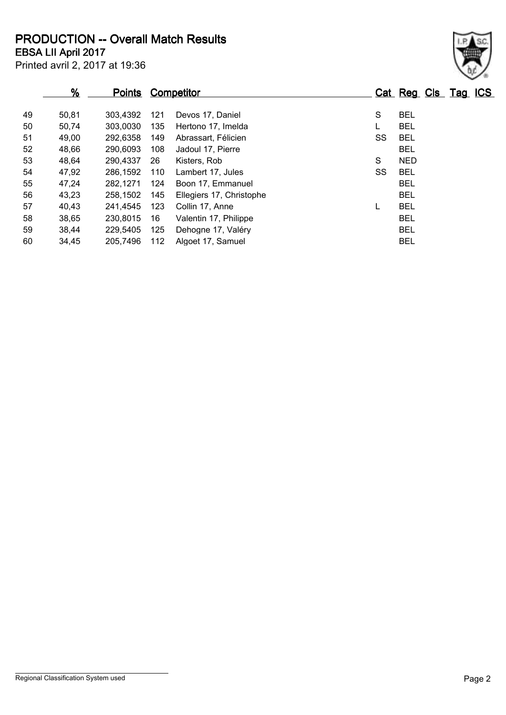**EBSA LII April 2017 PRODUCTION -- Overall Match Results**

Printed avril 2, 2017 at 19:36

| $\frac{9}{6}$ | <u>Points</u> |     |                          |                   |    |            |  |                     |
|---------------|---------------|-----|--------------------------|-------------------|----|------------|--|---------------------|
| 50,81         | 303.4392      | 121 | Devos 17, Daniel         |                   | S  | <b>BEL</b> |  |                     |
| 50,74         | 303,0030      | 135 | Hertono 17, Imelda       |                   |    | <b>BEL</b> |  |                     |
| 49,00         | 292,6358      | 149 | Abrassart, Félicien      |                   | SS | <b>BEL</b> |  |                     |
| 48,66         | 290,6093      | 108 | Jadoul 17, Pierre        |                   |    | <b>BEL</b> |  |                     |
| 48,64         | 290,4337      | 26  | Kisters, Rob             |                   | S  | <b>NED</b> |  |                     |
| 47,92         | 286,1592      | 110 | Lambert 17, Jules        |                   | SS | <b>BEL</b> |  |                     |
| 47,24         | 282,1271      | 124 | Boon 17, Emmanuel        |                   |    | <b>BEL</b> |  |                     |
| 43,23         | 258.1502      | 145 | Ellegiers 17, Christophe |                   |    | <b>BEL</b> |  |                     |
| 40,43         | 241,4545      | 123 | Collin 17, Anne          |                   | L  | <b>BEL</b> |  |                     |
| 38,65         | 230,8015      | 16  | Valentin 17, Philippe    |                   |    | <b>BEL</b> |  |                     |
| 38,44         | 229,5405      | 125 | Dehogne 17, Valéry       |                   |    | <b>BEL</b> |  |                     |
| 34,45         | 205,7496      | 112 | Algoet 17, Samuel        |                   |    | <b>BEL</b> |  |                     |
|               |               |     |                          | <b>Competitor</b> |    |            |  | Cat Reg Cls Tag ICS |

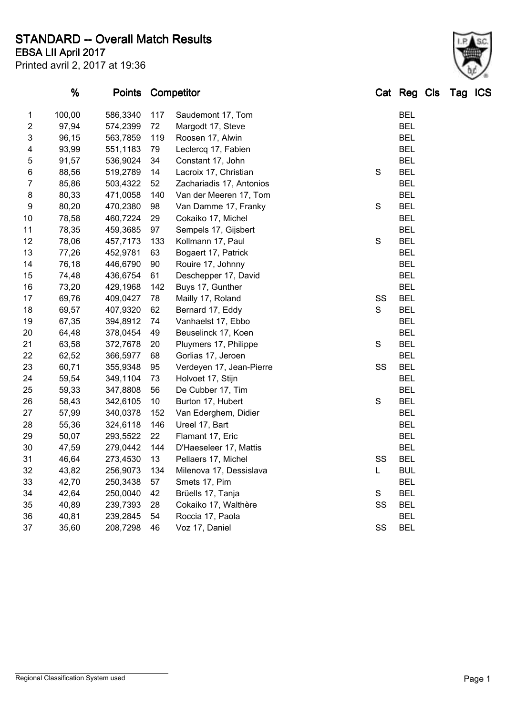**STANDARD -- Overall Match Results**

Printed avril 2, 2017 at 19:36 **EBSA LII April 2017**

## **% Points Competitor Cat Reg Cls Tag ICS** 100,00 586,3340 117 Saudemont 17, Tom BEL 97,94 574,2399 72 Margodt 17, Steve BEL 96,15 563,7859 119 Roosen 17, Alwin BEL 4 93,99 551,1183 79 Leclercq 17, Fabien BEL 91,57 536,9024 34 Constant 17, John BEL 6 88,56 519,2789 14 Lacroix 17, Christian S BEL 85,86 503,4322 52 Zachariadis 17, Antonios BEL 80,33 471,0058 140 Van der Meeren 17, Tom BEL 9 80,20 470,2380 98 Van Damme 17, Franky S BEL 10 78,58 460,7224 29 Cokaiko 17, Michel BEL 78,35 459,3685 97 Sempels 17, Gijsbert BEL 78,06 457,7173 133 Kollmann 17, Paul S BEL 77,26 452,9781 63 Bogaert 17, Patrick BEL 76,18 446,6790 90 Rouire 17, Johnny BEL 15 74,48 436,6754 61 Deschepper 17, David 73,20 429,1968 142 Buys 17, Gunther BEL 17 69.76 409.0427 78 Mailly 17. Roland SS BEL 18 69.57 407.9320 62 Bernard 17. Eddy S BEL 67,35 394,8912 74 Vanhaelst 17, Ebbo BEL 64,48 378,0454 49 Beuselinck 17, Koen BEL 63,58 372,7678 20 Pluymers 17, Philippe S BEL 62,52 366,5977 68 Gorlias 17, Jeroen BEL 60,71 355,9348 95 Verdeyen 17, Jean-Pierre SS BEL 59,54 349,1104 73 Holvoet 17, Stijn BEL 59,33 347,8808 56 De Cubber 17, Tim BEL 58,43 342,6105 10 Burton 17, Hubert S BEL 57,99 340,0378 152 Van Ederghem, Didier BEL 55,36 324,6118 146 Ureel 17, Bart BEL 50,07 293,5522 22 Flamant 17, Eric BEL 47,59 279,0442 144 D'Haeseleer 17, Mattis BEL 46,64 273,4530 13 Pellaers 17, Michel SS BEL 43,82 256,9073 134 Milenova 17, Dessislava L BUL 42,70 250,3438 57 Smets 17, Pim BEL 34 42,64 250,0040 42 Brüells 17, Tanja S BEL 40,89 239,7393 28 Cokaiko 17, Walthère SS BEL 40,81 239,2845 54 Roccia 17, Paola BEL 37 35,60 208,7298 46 Voz 17, Daniel SS BEL